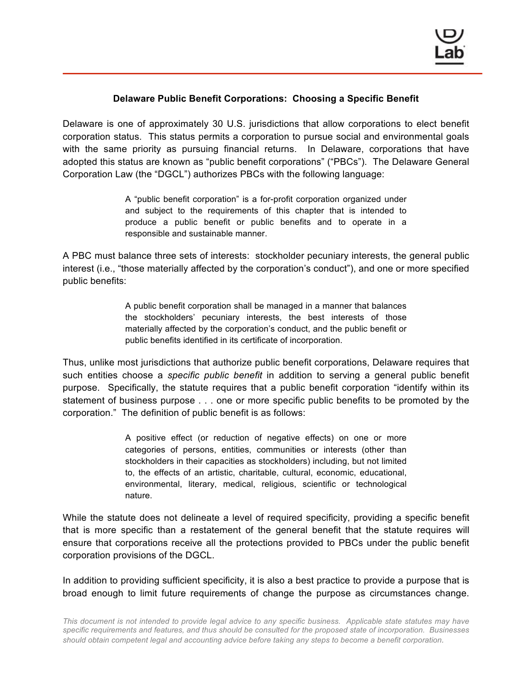## **Delaware Public Benefit Corporations: Choosing a Specific Benefit**

Delaware is one of approximately 30 U.S. jurisdictions that allow corporations to elect benefit corporation status. This status permits a corporation to pursue social and environmental goals with the same priority as pursuing financial returns. In Delaware, corporations that have adopted this status are known as "public benefit corporations" ("PBCs"). The Delaware General Corporation Law (the "DGCL") authorizes PBCs with the following language:

> A "public benefit corporation" is a for-profit corporation organized under and subject to the requirements of this chapter that is intended to produce a public benefit or public benefits and to operate in a responsible and sustainable manner.

A PBC must balance three sets of interests: stockholder pecuniary interests, the general public interest (i.e., "those materially affected by the corporation's conduct"), and one or more specified public benefits:

> A public benefit corporation shall be managed in a manner that balances the stockholders' pecuniary interests, the best interests of those materially affected by the corporation's conduct, and the public benefit or public benefits identified in its certificate of incorporation.

Thus, unlike most jurisdictions that authorize public benefit corporations, Delaware requires that such entities choose a *specific public benefit* in addition to serving a general public benefit purpose. Specifically, the statute requires that a public benefit corporation "identify within its statement of business purpose . . . one or more specific public benefits to be promoted by the corporation." The definition of public benefit is as follows:

> A positive effect (or reduction of negative effects) on one or more categories of persons, entities, communities or interests (other than stockholders in their capacities as stockholders) including, but not limited to, the effects of an artistic, charitable, cultural, economic, educational, environmental, literary, medical, religious, scientific or technological nature.

While the statute does not delineate a level of required specificity, providing a specific benefit that is more specific than a restatement of the general benefit that the statute requires will ensure that corporations receive all the protections provided to PBCs under the public benefit corporation provisions of the DGCL.

In addition to providing sufficient specificity, it is also a best practice to provide a purpose that is broad enough to limit future requirements of change the purpose as circumstances change.